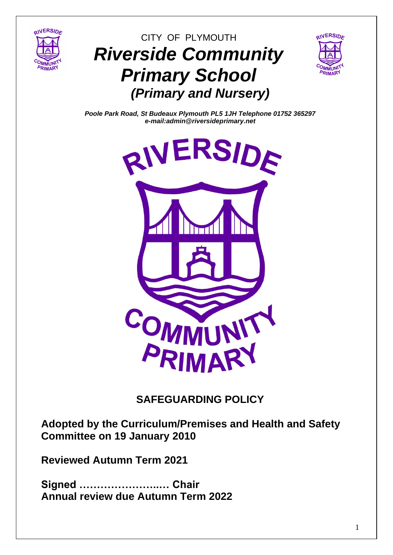

# CITY OF PLYMOUTH *Riverside Community Primary School (Primary and Nursery)*



*Poole Park Road, St Budeaux Plymouth PL5 1JH Telephone 01752 365297 e-mail:admin@riversideprimary.net*



# **SAFEGUARDING POLICY**

**Adopted by the Curriculum/Premises and Health and Safety Committee on 19 January 2010**

**Reviewed Autumn Term 2021**

**Signed …………………..… Chair Annual review due Autumn Term 2022**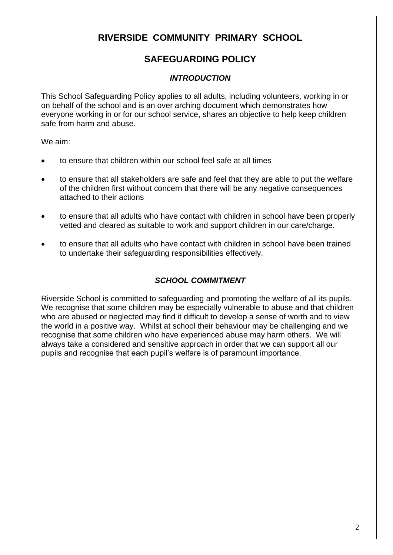# **RIVERSIDE COMMUNITY PRIMARY SCHOOL**

# **SAFEGUARDING POLICY**

### *INTRODUCTION*

This School Safeguarding Policy applies to all adults, including volunteers, working in or on behalf of the school and is an over arching document which demonstrates how everyone working in or for our school service, shares an objective to help keep children safe from harm and abuse.

We aim:

- to ensure that children within our school feel safe at all times
- to ensure that all stakeholders are safe and feel that they are able to put the welfare of the children first without concern that there will be any negative consequences attached to their actions
- to ensure that all adults who have contact with children in school have been properly vetted and cleared as suitable to work and support children in our care/charge.
- to ensure that all adults who have contact with children in school have been trained to undertake their safeguarding responsibilities effectively.

## *SCHOOL COMMITMENT*

Riverside School is committed to safeguarding and promoting the welfare of all its pupils. We recognise that some children may be especially vulnerable to abuse and that children who are abused or neglected may find it difficult to develop a sense of worth and to view the world in a positive way. Whilst at school their behaviour may be challenging and we recognise that some children who have experienced abuse may harm others. We will always take a considered and sensitive approach in order that we can support all our pupils and recognise that each pupil's welfare is of paramount importance.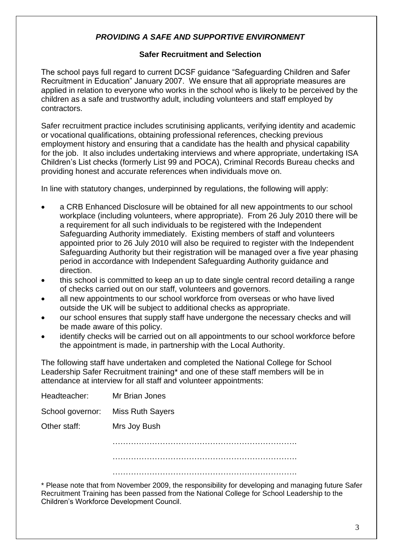#### *PROVIDING A SAFE AND SUPPORTIVE ENVIRONMENT*

#### **Safer Recruitment and Selection**

The school pays full regard to current DCSF guidance "Safeguarding Children and Safer Recruitment in Education" January 2007. We ensure that all appropriate measures are applied in relation to everyone who works in the school who is likely to be perceived by the children as a safe and trustworthy adult, including volunteers and staff employed by contractors.

Safer recruitment practice includes scrutinising applicants, verifying identity and academic or vocational qualifications, obtaining professional references, checking previous employment history and ensuring that a candidate has the health and physical capability for the job. It also includes undertaking interviews and where appropriate, undertaking ISA Children's List checks (formerly List 99 and POCA), Criminal Records Bureau checks and providing honest and accurate references when individuals move on.

In line with statutory changes, underpinned by regulations, the following will apply:

- a CRB Enhanced Disclosure will be obtained for all new appointments to our school workplace (including volunteers, where appropriate). From 26 July 2010 there will be a requirement for all such individuals to be registered with the Independent Safeguarding Authority immediately. Existing members of staff and volunteers appointed prior to 26 July 2010 will also be required to register with the Independent Safeguarding Authority but their registration will be managed over a five year phasing period in accordance with Independent Safeguarding Authority guidance and direction.
- this school is committed to keep an up to date single central record detailing a range of checks carried out on our staff, volunteers and governors.
- all new appointments to our school workforce from overseas or who have lived outside the UK will be subject to additional checks as appropriate.
- our school ensures that supply staff have undergone the necessary checks and will be made aware of this policy.
- identify checks will be carried out on all appointments to our school workforce before the appointment is made, in partnership with the Local Authority.

The following staff have undertaken and completed the National College for School Leadership Safer Recruitment training\* and one of these staff members will be in attendance at interview for all staff and volunteer appointments:

| Headteacher: | Mr Brian Jones                    |  |
|--------------|-----------------------------------|--|
|              | School governor: Miss Ruth Sayers |  |
| Other staff: | Mrs Joy Bush                      |  |
|              |                                   |  |
|              |                                   |  |
|              |                                   |  |

\* Please note that from November 2009, the responsibility for developing and managing future Safer Recruitment Training has been passed from the National College for School Leadership to the Children's Workforce Development Council.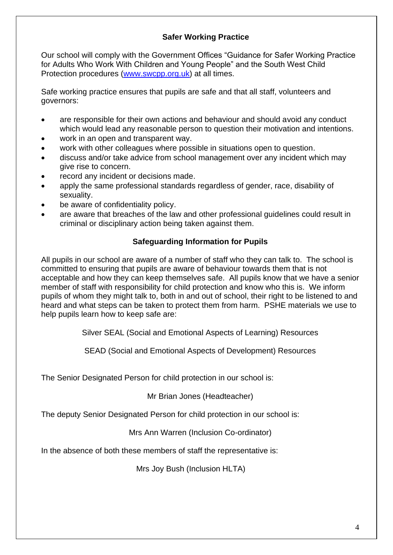#### **Safer Working Practice**

Our school will comply with the Government Offices "Guidance for Safer Working Practice for Adults Who Work With Children and Young People" and the South West Child Protection procedures [\(www.swcpp.org.uk\)](http://www.swcpp.org.uk/) at all times.

Safe working practice ensures that pupils are safe and that all staff, volunteers and governors:

- are responsible for their own actions and behaviour and should avoid any conduct which would lead any reasonable person to question their motivation and intentions.
- work in an open and transparent way.
- work with other colleagues where possible in situations open to question.
- discuss and/or take advice from school management over any incident which may give rise to concern.
- record any incident or decisions made.
- apply the same professional standards regardless of gender, race, disability of sexuality.
- be aware of confidentiality policy.
- are aware that breaches of the law and other professional guidelines could result in criminal or disciplinary action being taken against them.

#### **Safeguarding Information for Pupils**

All pupils in our school are aware of a number of staff who they can talk to. The school is committed to ensuring that pupils are aware of behaviour towards them that is not acceptable and how they can keep themselves safe. All pupils know that we have a senior member of staff with responsibility for child protection and know who this is. We inform pupils of whom they might talk to, both in and out of school, their right to be listened to and heard and what steps can be taken to protect them from harm. PSHE materials we use to help pupils learn how to keep safe are:

Silver SEAL (Social and Emotional Aspects of Learning) Resources

SEAD (Social and Emotional Aspects of Development) Resources

The Senior Designated Person for child protection in our school is:

Mr Brian Jones (Headteacher)

The deputy Senior Designated Person for child protection in our school is:

Mrs Ann Warren (Inclusion Co-ordinator)

In the absence of both these members of staff the representative is:

Mrs Joy Bush (Inclusion HLTA)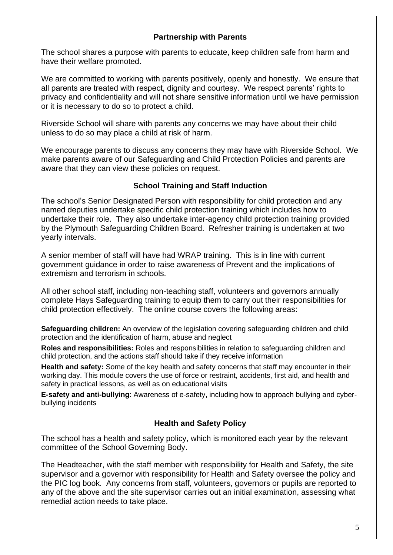#### **Partnership with Parents**

The school shares a purpose with parents to educate, keep children safe from harm and have their welfare promoted.

We are committed to working with parents positively, openly and honestly. We ensure that all parents are treated with respect, dignity and courtesy. We respect parents' rights to privacy and confidentiality and will not share sensitive information until we have permission or it is necessary to do so to protect a child.

Riverside School will share with parents any concerns we may have about their child unless to do so may place a child at risk of harm.

We encourage parents to discuss any concerns they may have with Riverside School. We make parents aware of our Safeguarding and Child Protection Policies and parents are aware that they can view these policies on request.

#### **School Training and Staff Induction**

The school's Senior Designated Person with responsibility for child protection and any named deputies undertake specific child protection training which includes how to undertake their role. They also undertake inter-agency child protection training provided by the Plymouth Safeguarding Children Board. Refresher training is undertaken at two yearly intervals.

A senior member of staff will have had WRAP training. This is in line with current government guidance in order to raise awareness of Prevent and the implications of extremism and terrorism in schools.

All other school staff, including non-teaching staff, volunteers and governors annually complete Hays Safeguarding training to equip them to carry out their responsibilities for child protection effectively. The online course covers the following areas:

**Safeguarding children:** An overview of the legislation covering safeguarding children and child protection and the identification of harm, abuse and neglect

**Roles and responsibilities:** Roles and responsibilities in relation to safeguarding children and child protection, and the actions staff should take if they receive information

**Health and safety:** Some of the key health and safety concerns that staff may encounter in their working day. This module covers the use of force or restraint, accidents, first aid, and health and safety in practical lessons, as well as on educational visits

**E-safety and anti-bullying**: Awareness of e-safety, including how to approach bullying and cyberbullying incidents

#### **Health and Safety Policy**

The school has a health and safety policy, which is monitored each year by the relevant committee of the School Governing Body.

The Headteacher, with the staff member with responsibility for Health and Safety, the site supervisor and a governor with responsibility for Health and Safety oversee the policy and the PIC log book. Any concerns from staff, volunteers, governors or pupils are reported to any of the above and the site supervisor carries out an initial examination, assessing what remedial action needs to take place.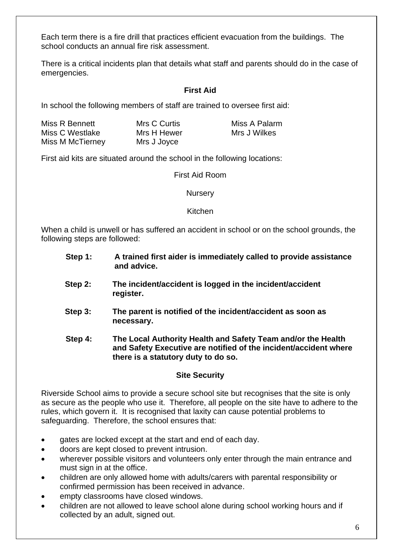Each term there is a fire drill that practices efficient evacuation from the buildings. The school conducts an annual fire risk assessment.

There is a critical incidents plan that details what staff and parents should do in the case of emergencies.

#### **First Aid**

In school the following members of staff are trained to oversee first aid:

| Miss R Bennett   | Mrs C Curtis | Miss A Palarm |
|------------------|--------------|---------------|
| Miss C Westlake  | Mrs H Hewer  | Mrs J Wilkes  |
| Miss M McTierney | Mrs J Joyce  |               |

First aid kits are situated around the school in the following locations:

First Aid Room

**Nursery** 

Kitchen

When a child is unwell or has suffered an accident in school or on the school grounds, the following steps are followed:

- **Step 1: A trained first aider is immediately called to provide assistance and advice.**
- **Step 2: The incident/accident is logged in the incident/accident register.**
- **Step 3: The parent is notified of the incident/accident as soon as necessary.**
- **Step 4: The Local Authority Health and Safety Team and/or the Health and Safety Executive are notified of the incident/accident where there is a statutory duty to do so.**

#### **Site Security**

Riverside School aims to provide a secure school site but recognises that the site is only as secure as the people who use it. Therefore, all people on the site have to adhere to the rules, which govern it. It is recognised that laxity can cause potential problems to safeguarding. Therefore, the school ensures that:

- gates are locked except at the start and end of each day.
- doors are kept closed to prevent intrusion.
- wherever possible visitors and volunteers only enter through the main entrance and must sign in at the office.
- children are only allowed home with adults/carers with parental responsibility or confirmed permission has been received in advance.
- empty classrooms have closed windows.
- children are not allowed to leave school alone during school working hours and if collected by an adult, signed out.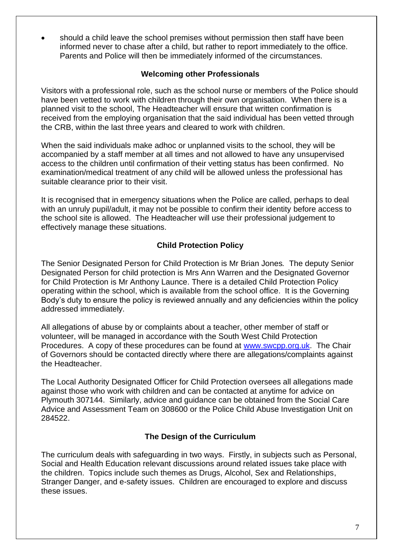• should a child leave the school premises without permission then staff have been informed never to chase after a child, but rather to report immediately to the office. Parents and Police will then be immediately informed of the circumstances.

#### **Welcoming other Professionals**

Visitors with a professional role, such as the school nurse or members of the Police should have been vetted to work with children through their own organisation. When there is a planned visit to the school, The Headteacher will ensure that written confirmation is received from the employing organisation that the said individual has been vetted through the CRB, within the last three years and cleared to work with children.

When the said individuals make adhoc or unplanned visits to the school, they will be accompanied by a staff member at all times and not allowed to have any unsupervised access to the children until confirmation of their vetting status has been confirmed. No examination/medical treatment of any child will be allowed unless the professional has suitable clearance prior to their visit.

It is recognised that in emergency situations when the Police are called, perhaps to deal with an unruly pupil/adult, it may not be possible to confirm their identity before access to the school site is allowed. The Headteacher will use their professional judgement to effectively manage these situations.

#### **Child Protection Policy**

The Senior Designated Person for Child Protection is Mr Brian Jones*.* The deputy Senior Designated Person for child protection is Mrs Ann Warren and the Designated Governor for Child Protection is Mr Anthony Launce. There is a detailed Child Protection Policy operating within the school, which is available from the school office. It is the Governing Body's duty to ensure the policy is reviewed annually and any deficiencies within the policy addressed immediately.

All allegations of abuse by or complaints about a teacher, other member of staff or volunteer, will be managed in accordance with the South West Child Protection Procedures. A copy of these procedures can be found at [www.swcpp.org.uk.](http://www.swcpp.org.uk/) The Chair of Governors should be contacted directly where there are allegations/complaints against the Headteacher.

The Local Authority Designated Officer for Child Protection oversees all allegations made against those who work with children and can be contacted at anytime for advice on Plymouth 307144. Similarly, advice and guidance can be obtained from the Social Care Advice and Assessment Team on 308600 or the Police Child Abuse Investigation Unit on 284522.

#### **The Design of the Curriculum**

The curriculum deals with safeguarding in two ways. Firstly, in subjects such as Personal, Social and Health Education relevant discussions around related issues take place with the children. Topics include such themes as Drugs, Alcohol, Sex and Relationships, Stranger Danger, and e-safety issues. Children are encouraged to explore and discuss these issues.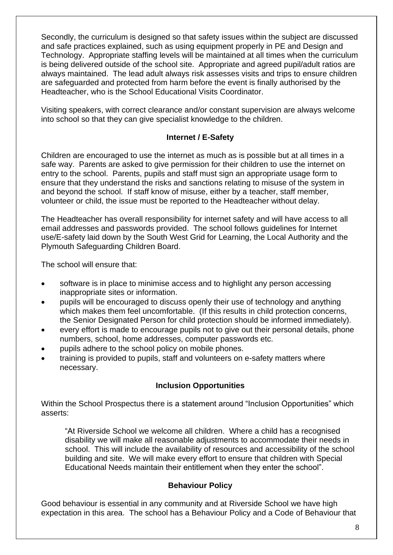Secondly, the curriculum is designed so that safety issues within the subject are discussed and safe practices explained, such as using equipment properly in PE and Design and Technology. Appropriate staffing levels will be maintained at all times when the curriculum is being delivered outside of the school site. Appropriate and agreed pupil/adult ratios are always maintained. The lead adult always risk assesses visits and trips to ensure children are safeguarded and protected from harm before the event is finally authorised by the Headteacher, who is the School Educational Visits Coordinator.

Visiting speakers, with correct clearance and/or constant supervision are always welcome into school so that they can give specialist knowledge to the children.

#### **Internet / E-Safety**

Children are encouraged to use the internet as much as is possible but at all times in a safe way. Parents are asked to give permission for their children to use the internet on entry to the school. Parents, pupils and staff must sign an appropriate usage form to ensure that they understand the risks and sanctions relating to misuse of the system in and beyond the school. If staff know of misuse, either by a teacher, staff member, volunteer or child, the issue must be reported to the Headteacher without delay.

The Headteacher has overall responsibility for internet safety and will have access to all email addresses and passwords provided. The school follows guidelines for Internet use/E-safety laid down by the South West Grid for Learning, the Local Authority and the Plymouth Safeguarding Children Board.

The school will ensure that:

- software is in place to minimise access and to highlight any person accessing inappropriate sites or information.
- pupils will be encouraged to discuss openly their use of technology and anything which makes them feel uncomfortable. (If this results in child protection concerns, the Senior Designated Person for child protection should be informed immediately).
- every effort is made to encourage pupils not to give out their personal details, phone numbers, school, home addresses, computer passwords etc.
- pupils adhere to the school policy on mobile phones.
- training is provided to pupils, staff and volunteers on e-safety matters where necessary.

#### **Inclusion Opportunities**

Within the School Prospectus there is a statement around "Inclusion Opportunities" which asserts:

"At Riverside School we welcome all children. Where a child has a recognised disability we will make all reasonable adjustments to accommodate their needs in school. This will include the availability of resources and accessibility of the school building and site. We will make every effort to ensure that children with Special Educational Needs maintain their entitlement when they enter the school".

#### **Behaviour Policy**

Good behaviour is essential in any community and at Riverside School we have high expectation in this area. The school has a Behaviour Policy and a Code of Behaviour that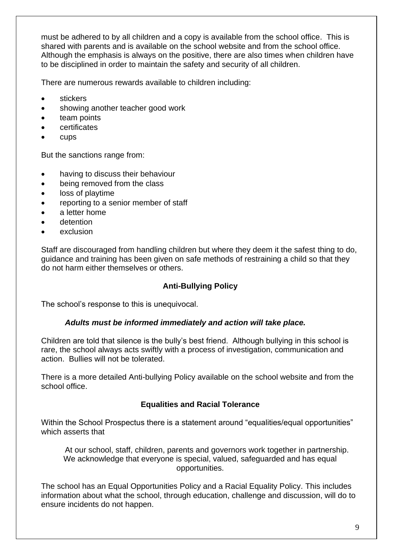must be adhered to by all children and a copy is available from the school office. This is shared with parents and is available on the school website and from the school office. Although the emphasis is always on the positive, there are also times when children have to be disciplined in order to maintain the safety and security of all children.

There are numerous rewards available to children including:

- stickers
- showing another teacher good work
- team points
- **certificates**
- cups

But the sanctions range from:

- having to discuss their behaviour
- being removed from the class
- loss of playtime
- reporting to a senior member of staff
- a letter home
- detention
- exclusion

Staff are discouraged from handling children but where they deem it the safest thing to do, guidance and training has been given on safe methods of restraining a child so that they do not harm either themselves or others.

#### **Anti-Bullying Policy**

The school's response to this is unequivocal.

#### *Adults must be informed immediately and action will take place.*

Children are told that silence is the bully's best friend. Although bullying in this school is rare, the school always acts swiftly with a process of investigation, communication and action. Bullies will not be tolerated.

There is a more detailed Anti-bullying Policy available on the school website and from the school office.

#### **Equalities and Racial Tolerance**

Within the School Prospectus there is a statement around "equalities/equal opportunities" which asserts that

At our school, staff, children, parents and governors work together in partnership. We acknowledge that everyone is special, valued, safeguarded and has equal opportunities.

The school has an Equal Opportunities Policy and a Racial Equality Policy. This includes information about what the school, through education, challenge and discussion, will do to ensure incidents do not happen.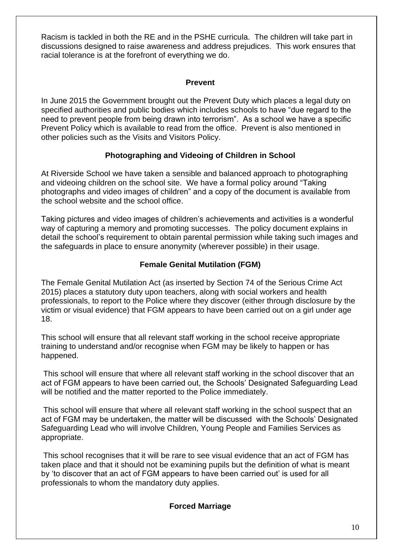Racism is tackled in both the RE and in the PSHE curricula. The children will take part in discussions designed to raise awareness and address prejudices. This work ensures that racial tolerance is at the forefront of everything we do.

#### **Prevent**

In June 2015 the Government brought out the Prevent Duty which places a legal duty on specified authorities and public bodies which includes schools to have "due regard to the need to prevent people from being drawn into terrorism". As a school we have a specific Prevent Policy which is available to read from the office. Prevent is also mentioned in other policies such as the Visits and Visitors Policy.

#### **Photographing and Videoing of Children in School**

At Riverside School we have taken a sensible and balanced approach to photographing and videoing children on the school site. We have a formal policy around "Taking photographs and video images of children" and a copy of the document is available from the school website and the school office.

Taking pictures and video images of children's achievements and activities is a wonderful way of capturing a memory and promoting successes. The policy document explains in detail the school's requirement to obtain parental permission while taking such images and the safeguards in place to ensure anonymity (wherever possible) in their usage.

#### **Female Genital Mutilation (FGM)**

The Female Genital Mutilation Act (as inserted by Section 74 of the Serious Crime Act 2015) places a statutory duty upon teachers, along with social workers and health professionals, to report to the Police where they discover (either through disclosure by the victim or visual evidence) that FGM appears to have been carried out on a girl under age 18.

This school will ensure that all relevant staff working in the school receive appropriate training to understand and/or recognise when FGM may be likely to happen or has happened.

This school will ensure that where all relevant staff working in the school discover that an act of FGM appears to have been carried out, the Schools' Designated Safeguarding Lead will be notified and the matter reported to the Police immediately.

This school will ensure that where all relevant staff working in the school suspect that an act of FGM may be undertaken, the matter will be discussed with the Schools' Designated Safeguarding Lead who will involve Children, Young People and Families Services as appropriate.

This school recognises that it will be rare to see visual evidence that an act of FGM has taken place and that it should not be examining pupils but the definition of what is meant by 'to discover that an act of FGM appears to have been carried out' is used for all professionals to whom the mandatory duty applies.

#### **Forced Marriage**